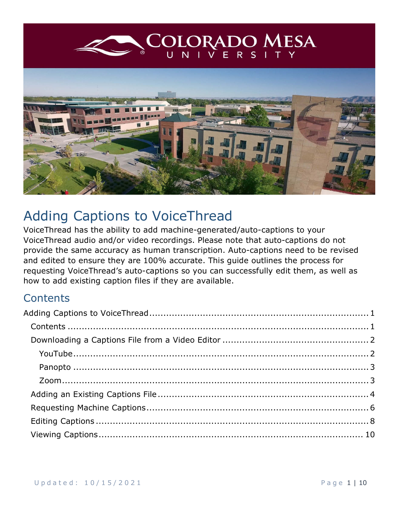<span id="page-0-0"></span>

# Adding Captions to VoiceThread

VoiceThread has the ability to add machine-generated/auto-captions to your VoiceThread audio and/or video recordings. Please note that auto-captions do not provide the same accuracy as human transcription. Auto-captions need to be revised and edited to ensure they are 100% accurate. This guide outlines the process for requesting VoiceThread's auto-captions so you can successfully edit them, as well as how to add existing caption files if they are available.

### <span id="page-0-1"></span>**Contents**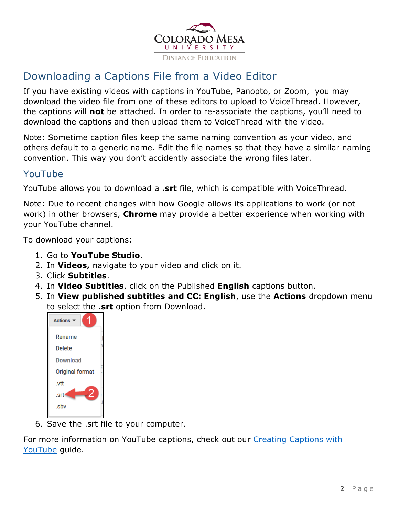

## <span id="page-1-0"></span>Downloading a Captions File from a Video Editor

If you have existing videos with captions in YouTube, Panopto, or Zoom, you may download the video file from one of these editors to upload to VoiceThread. However, the captions will **not** be attached. In order to re-associate the captions, you'll need to download the captions and then upload them to VoiceThread with the video.

Note: Sometime caption files keep the same naming convention as your video, and others default to a generic name. Edit the file names so that they have a similar naming convention. This way you don't accidently associate the wrong files later.

#### <span id="page-1-1"></span>YouTube

YouTube allows you to download a **.srt** file, which is compatible with VoiceThread.

Note: Due to recent changes with how Google allows its applications to work (or not work) in other browsers, **Chrome** may provide a better experience when working with your YouTube channel.

To download your captions:

- 1. Go to **YouTube Studio**.
- 2. In **Videos,** navigate to your video and click on it.
- 3. Click **Subtitles**.
- 4. In **Video Subtitles**, click on the Published **English** captions button.
- 5. In **View published subtitles and CC: English**, use the **Actions** dropdown menu to select the **.srt** option from Download.



6. Save the .srt file to your computer.

For more information on YouTube captions, check out our Creating Captions with [YouTube](https://www.coloradomesa.edu/distance-education/documents/creating_captions_youtube.pdf) guide.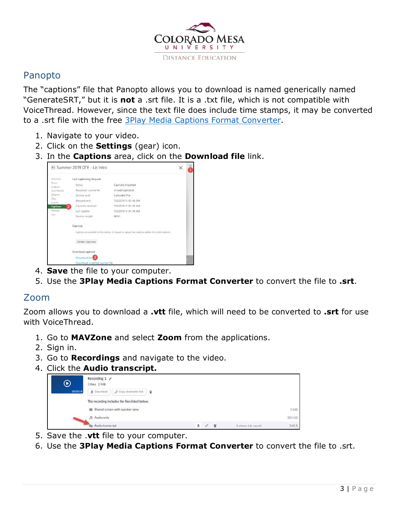

#### <span id="page-2-0"></span>Panopto

The "captions" file that Panopto allows you to download is named generically named "GenerateSRT," but it is **not** a .srt file. It is a .txt file, which is not compatible with VoiceThread. However, since the text file does include time stamps, it may be converted to a .srt file with the free [3Play Media Captions Format Converter.](https://www.3playmedia.com/solutions/features/tools/captions-format-converter/)

- 1. Navigate to your video.
- 2. Click on the **Settings** (gear) icon.
- 3. In the **Captions** area, click on the **Download file** link.

| Overview                  | <b>Last Captioning Request</b> |                                                                                                          |  |
|---------------------------|--------------------------------|----------------------------------------------------------------------------------------------------------|--|
| Share                     | <b>Status</b>                  | Captions Imported                                                                                        |  |
| Outputs<br>Quiz Results   | Requester username             | cmud2heprickett                                                                                          |  |
| Streams                   | Service level                  | Uploaded File                                                                                            |  |
| Clicis.                   | Request sent                   | 7/2/2019 11:01:18 AM                                                                                     |  |
| Search<br><b>Captions</b> | Captions received              | 7/2/2019 11:01:18 AM                                                                                     |  |
| Manage.                   | Last update                    | 7/2/2019 11:01:18 AM                                                                                     |  |
| Log<br>--                 | Session length                 | 00:51                                                                                                    |  |
|                           | Captions                       |                                                                                                          |  |
|                           |                                | Captions are available for this session. Io request or upload new captions, delete the current captions. |  |
|                           | Delete Captions                |                                                                                                          |  |
|                           | Download captions              |                                                                                                          |  |
|                           | Download file                  |                                                                                                          |  |
|                           | Download unedited caption file |                                                                                                          |  |

- 4. **Save** the file to your computer.
- 5. Use the **3Play Media Captions Format Converter** to convert the file to **.srt**.

#### <span id="page-2-1"></span>Zoom

Zoom allows you to download a **.vtt** file, which will need to be converted to **.srt** for use with VoiceThread.

- 1. Go to **MAVZone** and select **Zoom** from the applications.
- 2. Sign in.
- 3. Go to **Recordings** and navigate to the video.
- 4. Click the **Audio transcript.**

| $\boldsymbol{\circledcirc}$ | Recording 1<br>3 files 2 MB                     |        |                    |        |
|-----------------------------|-------------------------------------------------|--------|--------------------|--------|
| 00:00:19                    | P Copy shareable link<br><b>4</b> Download<br>î |        |                    |        |
|                             | The recording includes the files listed below:  |        |                    |        |
|                             | B Shared screen with speaker view               |        |                    | 1MB    |
|                             | J <sub>2</sub> Audio only                       |        |                    | 305 KB |
|                             | <b>Ilg</b> Audio transcript                     | T<br>圭 | O views this month | 540 B  |

- 5. Save the .**vtt** file to your computer.
- 6. Use the **3Play Media Captions Format Converter** to convert the file to .srt.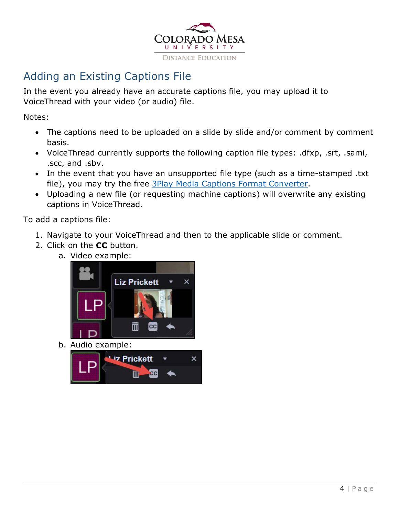

## <span id="page-3-0"></span>Adding an Existing Captions File

In the event you already have an accurate captions file, you may upload it to VoiceThread with your video (or audio) file.

Notes:

- The captions need to be uploaded on a slide by slide and/or comment by comment basis.
- VoiceThread currently supports the following caption file types: .dfxp, .srt, .sami, .scc, and .sbv.
- In the event that you have an unsupported file type (such as a time-stamped .txt file), you may try the free [3Play Media Captions Format Converter.](https://www.3playmedia.com/solutions/features/tools/captions-format-converter/)
- Uploading a new file (or requesting machine captions) will overwrite any existing captions in VoiceThread.

To add a captions file:

- 1. Navigate to your VoiceThread and then to the applicable slide or comment.
- 2. Click on the **CC** button.
	- a. Video example:



b. Audio example:

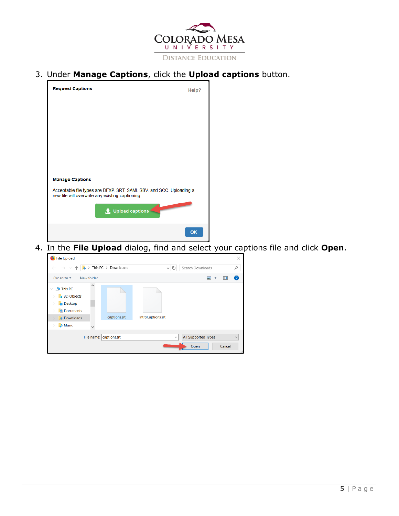

3. Under **Manage Captions**, click the **Upload captions** button.



4. In the **File Upload** dialog, find and select your captions file and click **Open**.

| File Upload                                                                                     |            |                                                      |                   |              |                                    |        | $\times$     |
|-------------------------------------------------------------------------------------------------|------------|------------------------------------------------------|-------------------|--------------|------------------------------------|--------|--------------|
| $\rightarrow$                                                                                   |            | $\vee$ $\uparrow$ $\downarrow$ > This PC > Downloads |                   | $\vee$ 0     | Search Downloads                   |        | مر           |
| Organize v                                                                                      | New folder |                                                      |                   |              | $\overline{\phantom{a}}$           | П      | (?           |
| This PC<br>3D Objects<br>$\Box$ Desktop<br><b>Documents</b><br><b>Downloads</b><br><b>Music</b> |            | captions.srt                                         | IntroCaptions.srt |              |                                    |        |              |
|                                                                                                 |            | File name: captions.srt                              |                   | $\checkmark$ | <b>All Supported Types</b><br>Open | Cancel | $\checkmark$ |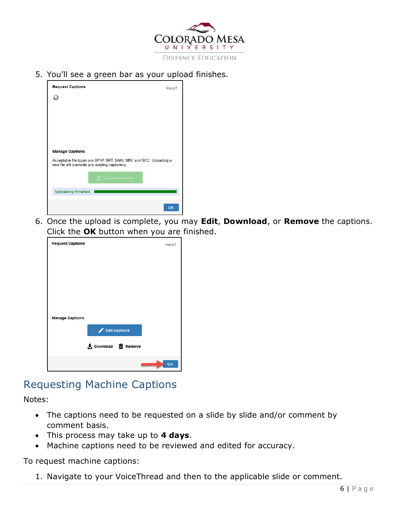

5. You'll see a green bar as your upload finishes.



6. Once the upload is complete, you may **Edit**, **Download**, or **Remove** the captions. Click the **OK** button when you are finished.

| <b>Request Captions</b> |                      | Help? |
|-------------------------|----------------------|-------|
|                         |                      |       |
|                         |                      |       |
|                         |                      |       |
|                         |                      |       |
|                         |                      |       |
| <b>Manage Captions</b>  |                      |       |
|                         | <b>Edit captions</b> |       |
|                         | Download III Remove  |       |
|                         |                      | OK    |

### <span id="page-5-0"></span>Requesting Machine Captions

Notes:

- The captions need to be requested on a slide by slide and/or comment by comment basis.
- This process may take up to **4 days**.
- Machine captions need to be reviewed and edited for accuracy.

To request machine captions:

1. Navigate to your VoiceThread and then to the applicable slide or comment.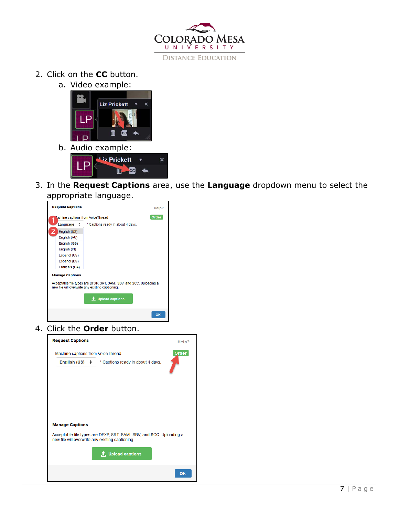

2. Click on the **CC** button.

D

a. Video example:



**III** cc

3. In the **Request Captions** area, use the **Language** dropdown menu to select the appropriate language.



4. Click the **Order** button.

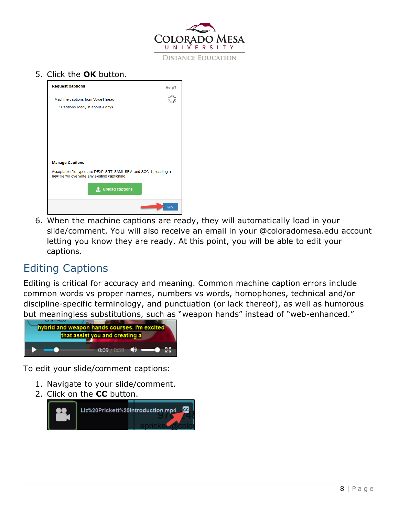

#### 5. Click the **OK** button.



6. When the machine captions are ready, they will automatically load in your slide/comment. You will also receive an email in your @coloradomesa.edu account letting you know they are ready. At this point, you will be able to edit your captions.

### <span id="page-7-0"></span>Editing Captions

Editing is critical for accuracy and meaning. Common machine caption errors include common words vs proper names, numbers vs words, homophones, technical and/or discipline-specific terminology, and punctuation (or lack thereof), as well as humorous but meaningless substitutions, such as "weapon hands" instead of "web-enhanced."



To edit your slide/comment captions:

- 1. Navigate to your slide/comment.
- 2. Click on the **CC** button.

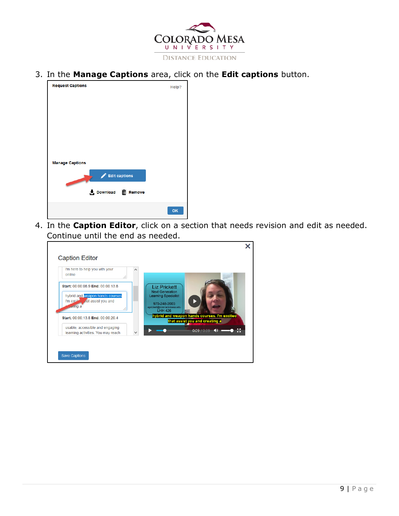

3. In the **Manage Captions** area, click on the **Edit captions** button.



4. In the **Caption Editor**, click on a section that needs revision and edit as needed. Continue until the end as needed.